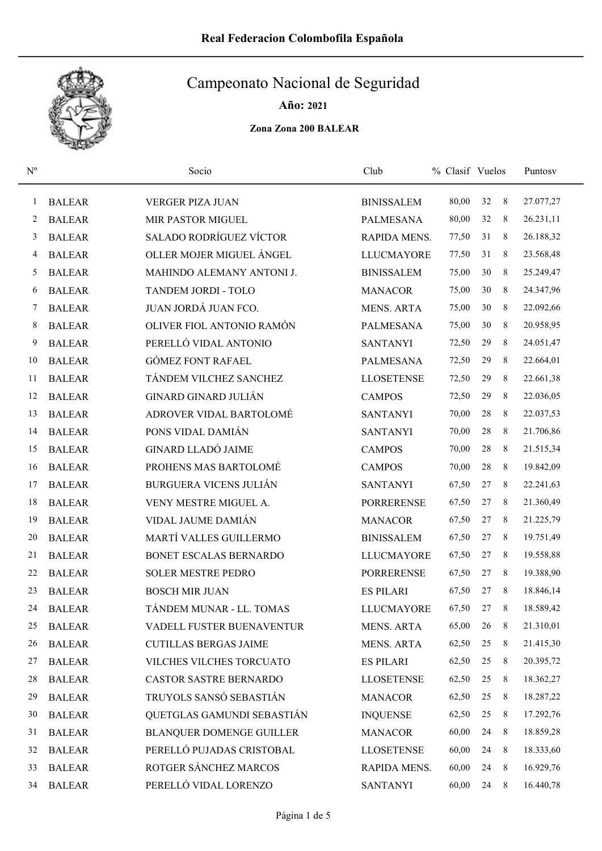

Año: 2021

| $\mathbf{N}^{\mathrm{o}}$ |               | Socio                           | Club                | % Clasif Vuelos |        |   | Puntosy   |
|---------------------------|---------------|---------------------------------|---------------------|-----------------|--------|---|-----------|
| 1                         | <b>BALEAR</b> | <b>VERGER PIZA JUAN</b>         | <b>BINISSALEM</b>   | 80,00           | 32     | 8 | 27.077,27 |
| 2                         | <b>BALEAR</b> | MIR PASTOR MIGUEL               | <b>PALMESANA</b>    | 80,00           | 32     | 8 | 26.231,11 |
| 3                         | <b>BALEAR</b> | <b>SALADO RODRÍGUEZ VÍCTOR</b>  | <b>RAPIDA MENS.</b> | 77,50           | 31     | 8 | 26.188,32 |
| 4                         | <b>BALEAR</b> | OLLER MOJER MIGUEL ÁNGEL        | <b>LLUCMAYORE</b>   | 77,50           | 31     | 8 | 23.568,48 |
| 5                         | <b>BALEAR</b> | MAHINDO ALEMANY ANTONI J.       | <b>BINISSALEM</b>   | 75,00           | 30     | 8 | 25.249,47 |
| 6                         | <b>BALEAR</b> | TANDEM JORDI - TOLO             | <b>MANACOR</b>      | 75,00           | 30     | 8 | 24.347,96 |
| 7                         | <b>BALEAR</b> | JUAN JORDÁ JUAN FCO.            | <b>MENS. ARTA</b>   | 75,00           | 30     | 8 | 22.092,66 |
| 8                         | <b>BALEAR</b> | OLIVER FIOL ANTONIO RAMÓN       | <b>PALMESANA</b>    | 75,00           | 30     | 8 | 20.958,95 |
| 9                         | <b>BALEAR</b> | PERELLÓ VIDAL ANTONIO           | <b>SANTANYI</b>     | 72,50           | 29     | 8 | 24.051,47 |
| 10                        | <b>BALEAR</b> | <b>GÓMEZ FONT RAFAEL</b>        | <b>PALMESANA</b>    | 72,50           | 29     | 8 | 22.664,01 |
| 11                        | <b>BALEAR</b> | TÁNDEM VILCHEZ SANCHEZ          | <b>LLOSETENSE</b>   | 72,50           | 29     | 8 | 22.661,38 |
| 12                        | <b>BALEAR</b> | <b>GINARD GINARD JULIÁN</b>     | <b>CAMPOS</b>       | 72,50           | 29     | 8 | 22.036,05 |
| 13                        | <b>BALEAR</b> | ADROVER VIDAL BARTOLOMÉ         | <b>SANTANYI</b>     | 70,00           | 28     | 8 | 22.037,53 |
| 14                        | <b>BALEAR</b> | PONS VIDAL DAMIÁN               | <b>SANTANYI</b>     | 70,00           | 28     | 8 | 21.706,86 |
| 15                        | <b>BALEAR</b> | <b>GINARD LLADÓ JAIME</b>       | <b>CAMPOS</b>       | 70,00           | 28     | 8 | 21.515,34 |
| 16                        | <b>BALEAR</b> | PROHENS MAS BARTOLOMÉ           | <b>CAMPOS</b>       | 70,00           | 28     | 8 | 19.842,09 |
| 17                        | <b>BALEAR</b> | <b>BURGUERA VICENS JULIÁN</b>   | <b>SANTANYI</b>     | 67,50           | 27     | 8 | 22.241,63 |
| 18                        | <b>BALEAR</b> | VENY MESTRE MIGUEL A.           | <b>PORRERENSE</b>   | 67,50           | 27     | 8 | 21.360,49 |
| 19                        | <b>BALEAR</b> | VIDAL JAUME DAMIÁN              | <b>MANACOR</b>      | 67,50           | 27     | 8 | 21.225,79 |
| 20                        | <b>BALEAR</b> | MARTÍ VALLES GUILLERMO          | <b>BINISSALEM</b>   | 67,50           | 27     | 8 | 19.751,49 |
| 21                        | <b>BALEAR</b> | BONET ESCALAS BERNARDO          | <b>LLUCMAYORE</b>   | 67,50           | 27     | 8 | 19.558,88 |
| 22                        | <b>BALEAR</b> | <b>SOLER MESTRE PEDRO</b>       | <b>PORRERENSE</b>   | 67,50           | 27     | 8 | 19.388,90 |
| 23                        | <b>BALEAR</b> | <b>BOSCH MIR JUAN</b>           | <b>ES PILARI</b>    | 67,50           | 27     | 8 | 18.846,14 |
| 24                        | <b>BALEAR</b> | TÁNDEM MUNAR - LL. TOMAS        | <b>LLUCMAYORE</b>   | 67,50           | $27\,$ | 8 | 18.589,42 |
| 25                        | <b>BALEAR</b> | VADELL FUSTER BUENAVENTUR       | <b>MENS. ARTA</b>   | 65,00           | 26     | 8 | 21.310,01 |
| 26                        | <b>BALEAR</b> | <b>CUTILLAS BERGAS JAIME</b>    | <b>MENS. ARTA</b>   | 62,50           | 25     | 8 | 21.415,30 |
| 27                        | <b>BALEAR</b> | VILCHES VILCHES TORCUATO        | <b>ES PILARI</b>    | 62,50           | 25     | 8 | 20.395,72 |
| 28                        | <b>BALEAR</b> | CASTOR SASTRE BERNARDO          | <b>LLOSETENSE</b>   | 62,50           | $25\,$ | 8 | 18.362,27 |
| 29                        | <b>BALEAR</b> | TRUYOLS SANSÓ SEBASTIÁN         | <b>MANACOR</b>      | 62,50           | 25     | 8 | 18.287,22 |
| 30                        | <b>BALEAR</b> | QUETGLAS GAMUNDI SEBASTIÁN      | <b>INQUENSE</b>     | 62,50           | $25\,$ | 8 | 17.292,76 |
| 31                        | <b>BALEAR</b> | <b>BLANQUER DOMENGE GUILLER</b> | <b>MANACOR</b>      | 60,00           | 24     | 8 | 18.859,28 |
| 32                        | <b>BALEAR</b> | PERELLÓ PUJADAS CRISTOBAL       | <b>LLOSETENSE</b>   | 60,00           | 24     | 8 | 18.333,60 |
| 33                        | <b>BALEAR</b> | ROTGER SÁNCHEZ MARCOS           | RAPIDA MENS.        | 60,00           | 24     | 8 | 16.929,76 |
| 34                        | <b>BALEAR</b> | PERELLÓ VIDAL LORENZO           | <b>SANTANYI</b>     | 60,00           | 24     | 8 | 16.440,78 |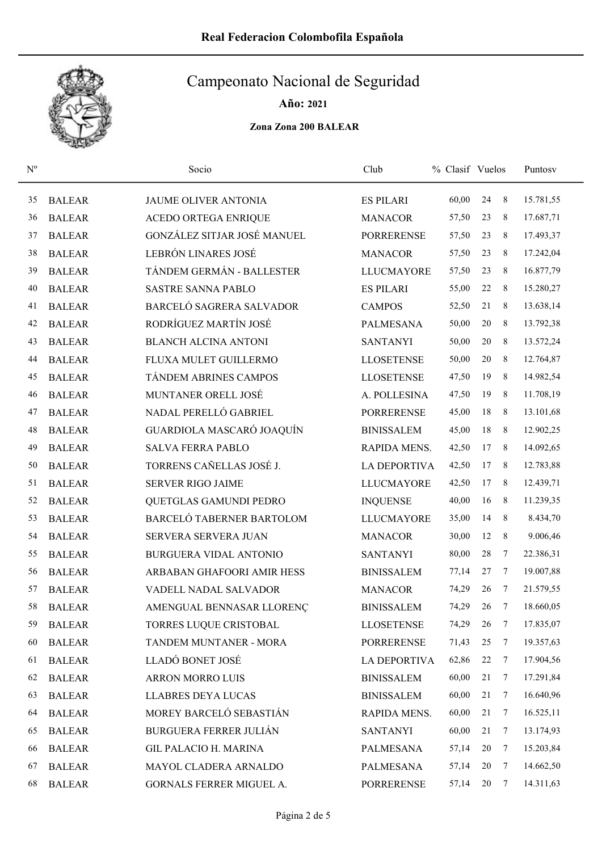

Año: 2021

| $N^{o}$ |               | Socio                           | Club                | % Clasif Vuelos |        |                | Puntosy   |
|---------|---------------|---------------------------------|---------------------|-----------------|--------|----------------|-----------|
| 35      | <b>BALEAR</b> | <b>JAUME OLIVER ANTONIA</b>     | <b>ES PILARI</b>    | 60,00           | 24     | 8              | 15.781,55 |
| 36      | <b>BALEAR</b> | <b>ACEDO ORTEGA ENRIQUE</b>     | <b>MANACOR</b>      | 57,50           | 23     | 8              | 17.687,71 |
| 37      | <b>BALEAR</b> | GONZÁLEZ SITJAR JOSÉ MANUEL     | <b>PORRERENSE</b>   | 57,50           | 23     | 8              | 17.493,37 |
| 38      | <b>BALEAR</b> | LEBRÓN LINARES JOSÉ             | <b>MANACOR</b>      | 57,50           | 23     | 8              | 17.242,04 |
| 39      | <b>BALEAR</b> | TÁNDEM GERMÁN - BALLESTER       | <b>LLUCMAYORE</b>   | 57,50           | 23     | 8              | 16.877,79 |
| 40      | <b>BALEAR</b> | <b>SASTRE SANNA PABLO</b>       | <b>ES PILARI</b>    | 55,00           | 22     | 8              | 15.280,27 |
| 41      | <b>BALEAR</b> | <b>BARCELÓ SAGRERA SALVADOR</b> | <b>CAMPOS</b>       | 52,50           | 21     | 8              | 13.638,14 |
| 42      | <b>BALEAR</b> | RODRÍGUEZ MARTÍN JOSÉ           | <b>PALMESANA</b>    | 50,00           | $20\,$ | 8              | 13.792,38 |
| 43      | <b>BALEAR</b> | <b>BLANCH ALCINA ANTONI</b>     | <b>SANTANYI</b>     | 50,00           | $20\,$ | 8              | 13.572,24 |
| 44      | <b>BALEAR</b> | FLUXA MULET GUILLERMO           | <b>LLOSETENSE</b>   | 50,00           | $20\,$ | 8              | 12.764,87 |
| 45      | <b>BALEAR</b> | TÁNDEM ABRINES CAMPOS           | <b>LLOSETENSE</b>   | 47,50           | 19     | 8              | 14.982,54 |
| 46      | <b>BALEAR</b> | MUNTANER ORELL JOSÉ             | A. POLLESINA        | 47,50           | 19     | 8              | 11.708,19 |
| 47      | <b>BALEAR</b> | NADAL PERELLÓ GABRIEL           | <b>PORRERENSE</b>   | 45,00           | 18     | 8              | 13.101,68 |
| 48      | <b>BALEAR</b> | GUARDIOLA MASCARÓ JOAQUÍN       | <b>BINISSALEM</b>   | 45,00           | 18     | 8              | 12.902,25 |
| 49      | <b>BALEAR</b> | <b>SALVA FERRA PABLO</b>        | RAPIDA MENS.        | 42,50           | 17     | 8              | 14.092,65 |
| 50      | <b>BALEAR</b> | TORRENS CAÑELLAS JOSÉ J.        | LA DEPORTIVA        | 42,50           | 17     | 8              | 12.783,88 |
| 51      | <b>BALEAR</b> | <b>SERVER RIGO JAIME</b>        | <b>LLUCMAYORE</b>   | 42,50           | 17     | 8              | 12.439,71 |
| 52      | <b>BALEAR</b> | QUETGLAS GAMUNDI PEDRO          | <b>INQUENSE</b>     | 40,00           | 16     | 8              | 11.239,35 |
| 53      | <b>BALEAR</b> | BARCELÓ TABERNER BARTOLOM       | <b>LLUCMAYORE</b>   | 35,00           | 14     | 8              | 8.434,70  |
| 54      | <b>BALEAR</b> | SERVERA SERVERA JUAN            | <b>MANACOR</b>      | 30,00           | 12     | 8              | 9.006,46  |
| 55      | <b>BALEAR</b> | <b>BURGUERA VIDAL ANTONIO</b>   | <b>SANTANYI</b>     | 80,00           | 28     | 7              | 22.386,31 |
| 56      | <b>BALEAR</b> | ARBABAN GHAFOORI AMIR HESS      | <b>BINISSALEM</b>   | 77,14           | 27     | 7              | 19.007,88 |
| 57      | <b>BALEAR</b> | VADELL NADAL SALVADOR           | <b>MANACOR</b>      | 74,29           | 26     | 7              | 21.579,55 |
| 58      | <b>BALEAR</b> | AMENGUAL BENNASAR LLORENÇ       | <b>BINISSALEM</b>   | 74,29           | 26     | $\tau$         | 18.660,05 |
| 59      | <b>BALEAR</b> | TORRES LUQUE CRISTOBAL          | <b>LLOSETENSE</b>   | 74,29           | 26     | $\overline{7}$ | 17.835,07 |
| 60      | <b>BALEAR</b> | TANDEM MUNTANER - MORA          | <b>PORRERENSE</b>   | 71,43           | 25     | 7              | 19.357,63 |
| 61      | <b>BALEAR</b> | LLADÓ BONET JOSÉ                | <b>LA DEPORTIVA</b> | 62,86           | 22     | 7              | 17.904,56 |
| 62      | <b>BALEAR</b> | ARRON MORRO LUIS                | <b>BINISSALEM</b>   | 60,00           | 21     | 7              | 17.291,84 |
| 63      | <b>BALEAR</b> | <b>LLABRES DEYA LUCAS</b>       | <b>BINISSALEM</b>   | 60,00           | 21     | 7              | 16.640,96 |
| 64      | <b>BALEAR</b> | MOREY BARCELÓ SEBASTIÁN         | RAPIDA MENS.        | 60,00           | 21     | 7              | 16.525,11 |
| 65      | <b>BALEAR</b> | <b>BURGUERA FERRER JULIÁN</b>   | <b>SANTANYI</b>     | 60,00           | 21     | 7              | 13.174,93 |
| 66      | <b>BALEAR</b> | <b>GIL PALACIO H. MARINA</b>    | <b>PALMESANA</b>    | 57,14           | 20     | 7              | 15.203,84 |
| 67      | <b>BALEAR</b> | MAYOL CLADERA ARNALDO           | <b>PALMESANA</b>    | 57,14           | 20     | 7              | 14.662,50 |
| 68      | <b>BALEAR</b> | GORNALS FERRER MIGUEL A.        | <b>PORRERENSE</b>   | 57,14           | 20     | $\overline{7}$ | 14.311,63 |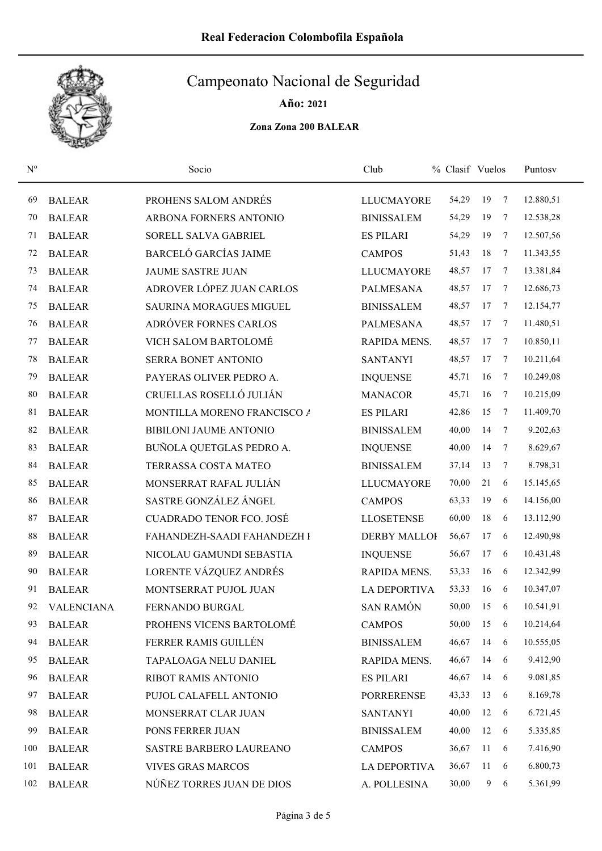

Año: 2021

| $N^{o}$ |                   | Socio                           | Club                | % Clasif Vuelos |    |   | Puntosy   |
|---------|-------------------|---------------------------------|---------------------|-----------------|----|---|-----------|
| 69      | <b>BALEAR</b>     | PROHENS SALOM ANDRÉS            | <b>LLUCMAYORE</b>   | 54,29           | 19 | 7 | 12.880,51 |
| 70      | <b>BALEAR</b>     | ARBONA FORNERS ANTONIO          | <b>BINISSALEM</b>   | 54,29           | 19 | 7 | 12.538,28 |
| 71      | <b>BALEAR</b>     | SORELL SALVA GABRIEL            | <b>ES PILARI</b>    | 54,29           | 19 | 7 | 12.507,56 |
| 72      | <b>BALEAR</b>     | <b>BARCELÓ GARCÍAS JAIME</b>    | <b>CAMPOS</b>       | 51,43           | 18 | 7 | 11.343,55 |
| 73      | <b>BALEAR</b>     | <b>JAUME SASTRE JUAN</b>        | <b>LLUCMAYORE</b>   | 48,57           | 17 | 7 | 13.381,84 |
| 74      | <b>BALEAR</b>     | ADROVER LÓPEZ JUAN CARLOS       | <b>PALMESANA</b>    | 48,57           | 17 | 7 | 12.686,73 |
| 75      | <b>BALEAR</b>     | <b>SAURINA MORAGUES MIGUEL</b>  | <b>BINISSALEM</b>   | 48,57           | 17 | 7 | 12.154,77 |
| 76      | <b>BALEAR</b>     | ADRÓVER FORNES CARLOS           | <b>PALMESANA</b>    | 48,57           | 17 | 7 | 11.480,51 |
| 77      | <b>BALEAR</b>     | <b>VICH SALOM BARTOLOMÉ</b>     | RAPIDA MENS.        | 48,57           | 17 | 7 | 10.850,11 |
| 78      | <b>BALEAR</b>     | SERRA BONET ANTONIO             | <b>SANTANYI</b>     | 48,57           | 17 | 7 | 10.211,64 |
| 79      | <b>BALEAR</b>     | PAYERAS OLIVER PEDRO A.         | <b>INQUENSE</b>     | 45,71           | 16 | 7 | 10.249,08 |
| 80      | <b>BALEAR</b>     | CRUELLAS ROSELLÓ JULIÁN         | <b>MANACOR</b>      | 45,71           | 16 | 7 | 10.215,09 |
| 81      | <b>BALEAR</b>     | MONTILLA MORENO FRANCISCO /     | <b>ES PILARI</b>    | 42,86           | 15 | 7 | 11.409,70 |
| 82      | <b>BALEAR</b>     | <b>BIBILONI JAUME ANTONIO</b>   | <b>BINISSALEM</b>   | 40,00           | 14 | 7 | 9.202,63  |
| 83      | <b>BALEAR</b>     | BUÑOLA QUETGLAS PEDRO A.        | <b>INQUENSE</b>     | 40,00           | 14 | 7 | 8.629,67  |
| 84      | <b>BALEAR</b>     | TERRASSA COSTA MATEO            | <b>BINISSALEM</b>   | 37,14           | 13 | 7 | 8.798,31  |
| 85      | <b>BALEAR</b>     | MONSERRAT RAFAL JULIÁN          | <b>LLUCMAYORE</b>   | 70,00           | 21 | 6 | 15.145,65 |
| 86      | <b>BALEAR</b>     | SASTRE GONZÁLEZ ÁNGEL           | <b>CAMPOS</b>       | 63,33           | 19 | 6 | 14.156,00 |
| 87      | <b>BALEAR</b>     | <b>CUADRADO TENOR FCO. JOSÉ</b> | <b>LLOSETENSE</b>   | 60,00           | 18 | 6 | 13.112,90 |
| 88      | <b>BALEAR</b>     | FAHANDEZH-SAADI FAHANDEZH I     | <b>DERBY MALLOF</b> | 56,67           | 17 | 6 | 12.490,98 |
| 89      | <b>BALEAR</b>     | NICOLAU GAMUNDI SEBASTIA        | <b>INQUENSE</b>     | 56,67           | 17 | 6 | 10.431,48 |
| 90      | <b>BALEAR</b>     | LORENTE VÁZQUEZ ANDRÉS          | RAPIDA MENS.        | 53,33           | 16 | 6 | 12.342,99 |
| 91      | <b>BALEAR</b>     | MONTSERRAT PUJOL JUAN           | <b>LA DEPORTIVA</b> | 53,33           | 16 | 6 | 10.347,07 |
| 92      | <b>VALENCIANA</b> | FERNANDO BURGAL                 | <b>SAN RAMÓN</b>    | 50,00           | 15 | 6 | 10.541,91 |
| 93      | <b>BALEAR</b>     | PROHENS VICENS BARTOLOMÉ        | <b>CAMPOS</b>       | 50,00           | 15 | 6 | 10.214,64 |
| 94      | <b>BALEAR</b>     | FERRER RAMIS GUILLÉN            | <b>BINISSALEM</b>   | 46,67           | 14 | 6 | 10.555,05 |
| 95      | <b>BALEAR</b>     | TAPALOAGA NELU DANIEL           | RAPIDA MENS.        | 46,67           | 14 | 6 | 9.412,90  |
| 96      | <b>BALEAR</b>     | RIBOT RAMIS ANTONIO             | <b>ES PILARI</b>    | 46,67           | 14 | 6 | 9.081,85  |
| 97      | <b>BALEAR</b>     | PUJOL CALAFELL ANTONIO          | <b>PORRERENSE</b>   | 43,33           | 13 | 6 | 8.169,78  |
| 98      | <b>BALEAR</b>     | MONSERRAT CLAR JUAN             | <b>SANTANYI</b>     | 40,00           | 12 | 6 | 6.721,45  |
| 99      | <b>BALEAR</b>     | PONS FERRER JUAN                | <b>BINISSALEM</b>   | 40,00           | 12 | 6 | 5.335,85  |
| 100     | <b>BALEAR</b>     | SASTRE BARBERO LAUREANO         | <b>CAMPOS</b>       | 36,67           | 11 | 6 | 7.416,90  |
| 101     | <b>BALEAR</b>     | <b>VIVES GRAS MARCOS</b>        | <b>LA DEPORTIVA</b> | 36,67           | 11 | 6 | 6.800,73  |
| 102     | <b>BALEAR</b>     | NÚÑEZ TORRES JUAN DE DIOS       | A. POLLESINA        | 30,00           | 9  | 6 | 5.361,99  |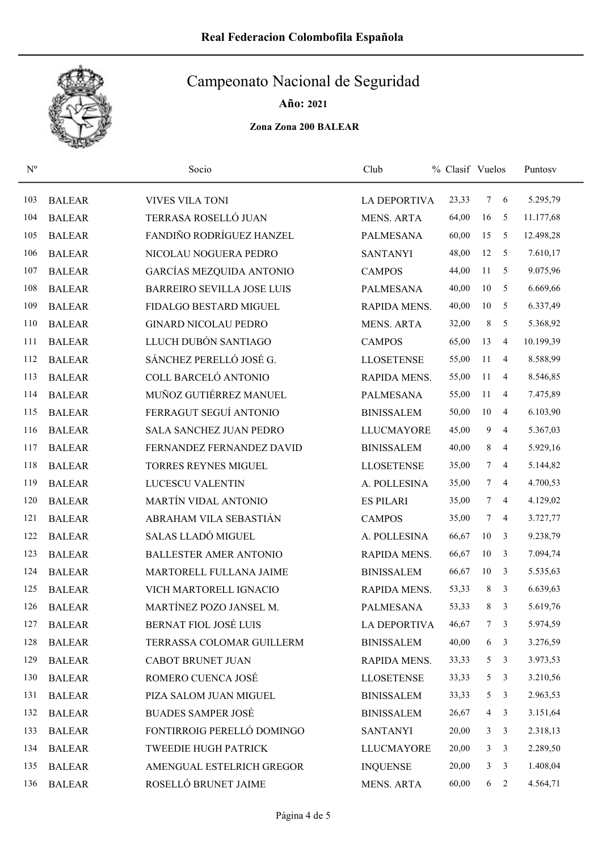

Año: 2021

| $\mathrm{N}^{\rm o}$ |               | Socio                             | Club                | % Clasif Vuelos |                 |                | Puntosv   |
|----------------------|---------------|-----------------------------------|---------------------|-----------------|-----------------|----------------|-----------|
| 103                  | <b>BALEAR</b> | <b>VIVES VILA TONI</b>            | <b>LA DEPORTIVA</b> | 23,33           | 7               | 6              | 5.295,79  |
| 104                  | <b>BALEAR</b> | TERRASA ROSELLÓ JUAN              | <b>MENS. ARTA</b>   | 64,00           | 16              | 5              | 11.177,68 |
| 105                  | <b>BALEAR</b> | FANDIÑO RODRÍGUEZ HANZEL          | <b>PALMESANA</b>    | 60,00           | 15              | 5              | 12.498,28 |
| 106                  | <b>BALEAR</b> | NICOLAU NOGUERA PEDRO             | <b>SANTANYI</b>     | 48,00           | 12              | 5              | 7.610,17  |
| 107                  | <b>BALEAR</b> | GARCÍAS MEZQUIDA ANTONIO          | <b>CAMPOS</b>       | 44,00           | 11              | 5              | 9.075,96  |
| 108                  | <b>BALEAR</b> | <b>BARREIRO SEVILLA JOSE LUIS</b> | <b>PALMESANA</b>    | 40,00           | 10              | 5              | 6.669,66  |
| 109                  | <b>BALEAR</b> | FIDALGO BESTARD MIGUEL            | RAPIDA MENS.        | 40,00           | 10              | 5              | 6.337,49  |
| 110                  | <b>BALEAR</b> | <b>GINARD NICOLAU PEDRO</b>       | <b>MENS. ARTA</b>   | 32,00           | $\,$ 8 $\,$     | 5              | 5.368,92  |
| 111                  | <b>BALEAR</b> | LLUCH DUBÓN SANTIAGO              | <b>CAMPOS</b>       | 65,00           | 13              | 4              | 10.199,39 |
| 112                  | <b>BALEAR</b> | SÁNCHEZ PERELLÓ JOSÉ G.           | <b>LLOSETENSE</b>   | 55,00           | 11              | 4              | 8.588,99  |
| 113                  | <b>BALEAR</b> | COLL BARCELÓ ANTONIO              | RAPIDA MENS.        | 55,00           | 11              | 4              | 8.546,85  |
| 114                  | <b>BALEAR</b> | MUÑOZ GUTIÉRREZ MANUEL            | PALMESANA           | 55,00           | 11              | $\overline{4}$ | 7.475,89  |
| 115                  | <b>BALEAR</b> | FERRAGUT SEGUÍ ANTONIO            | <b>BINISSALEM</b>   | 50,00           | $10\,$          | 4              | 6.103,90  |
| 116                  | <b>BALEAR</b> | <b>SALA SANCHEZ JUAN PEDRO</b>    | <b>LLUCMAYORE</b>   | 45,00           | 9               | 4              | 5.367,03  |
| 117                  | <b>BALEAR</b> | FERNANDEZ FERNANDEZ DAVID         | <b>BINISSALEM</b>   | 40,00           | 8               | 4              | 5.929,16  |
| 118                  | <b>BALEAR</b> | <b>TORRES REYNES MIGUEL</b>       | <b>LLOSETENSE</b>   | 35,00           | 7               | $\overline{4}$ | 5.144,82  |
| 119                  | <b>BALEAR</b> | LUCESCU VALENTIN                  | A. POLLESINA        | 35,00           | $7\overline{ }$ | $\overline{4}$ | 4.700,53  |
| 120                  | <b>BALEAR</b> | <b>MARTÍN VIDAL ANTONIO</b>       | <b>ES PILARI</b>    | 35,00           | $7\overline{ }$ | $\overline{4}$ | 4.129,02  |
| 121                  | <b>BALEAR</b> | ABRAHAM VILA SEBASTIÁN            | <b>CAMPOS</b>       | 35,00           | 7               | $\overline{4}$ | 3.727,77  |
| 122                  | <b>BALEAR</b> | SALAS LLADÓ MIGUEL                | A. POLLESINA        | 66,67           | $10\,$          | 3              | 9.238,79  |
| 123                  | <b>BALEAR</b> | <b>BALLESTER AMER ANTONIO</b>     | RAPIDA MENS.        | 66,67           | $10\,$          | 3              | 7.094,74  |
| 124                  | <b>BALEAR</b> | MARTORELL FULLANA JAIME           | <b>BINISSALEM</b>   | 66,67           | 10              | 3              | 5.535,63  |
| 125                  | <b>BALEAR</b> | VICH MARTORELL IGNACIO            | RAPIDA MENS.        | 53,33           | 8               | 3              | 6.639,63  |
| 126                  | <b>BALEAR</b> | MARTÍNEZ POZO JANSEL M.           | PALMESANA           | 53,33           | 8               | 3              | 5.619,76  |
| 127                  | <b>BALEAR</b> | BERNAT FIOL JOSÉ LUIS             | <b>LA DEPORTIVA</b> | 46,67           | 7 <sup>1</sup>  | 3              | 5.974,59  |
| 128                  | <b>BALEAR</b> | TERRASSA COLOMAR GUILLERM         | <b>BINISSALEM</b>   | 40,00           | 6               | 3              | 3.276,59  |
| 129                  | <b>BALEAR</b> | CABOT BRUNET JUAN                 | RAPIDA MENS.        | 33,33           | 5               | $\mathbf{3}$   | 3.973,53  |
| 130                  | <b>BALEAR</b> | ROMERO CUENCA JOSÉ                | <b>LLOSETENSE</b>   | 33,33           | 5               | 3              | 3.210,56  |
| 131                  | <b>BALEAR</b> | PIZA SALOM JUAN MIGUEL            | <b>BINISSALEM</b>   | 33,33           | 5               | 3              | 2.963,53  |
| 132                  | <b>BALEAR</b> | <b>BUADES SAMPER JOSÉ</b>         | <b>BINISSALEM</b>   | 26,67           | $\overline{4}$  | 3              | 3.151,64  |
| 133                  | <b>BALEAR</b> | FONTIRROIG PERELLÓ DOMINGO        | <b>SANTANYI</b>     | 20,00           | $\mathbf{3}$    | 3              | 2.318,13  |
| 134                  | <b>BALEAR</b> | TWEEDIE HUGH PATRICK              | LLUCMAYORE          | 20,00           | 3               | 3              | 2.289,50  |
| 135                  | <b>BALEAR</b> | AMENGUAL ESTELRICH GREGOR         | <b>INQUENSE</b>     | 20,00           | $\mathfrak{Z}$  | 3              | 1.408,04  |
| 136                  | <b>BALEAR</b> | ROSELLÓ BRUNET JAIME              | <b>MENS. ARTA</b>   | 60,00           |                 | $6\quad 2$     | 4.564,71  |